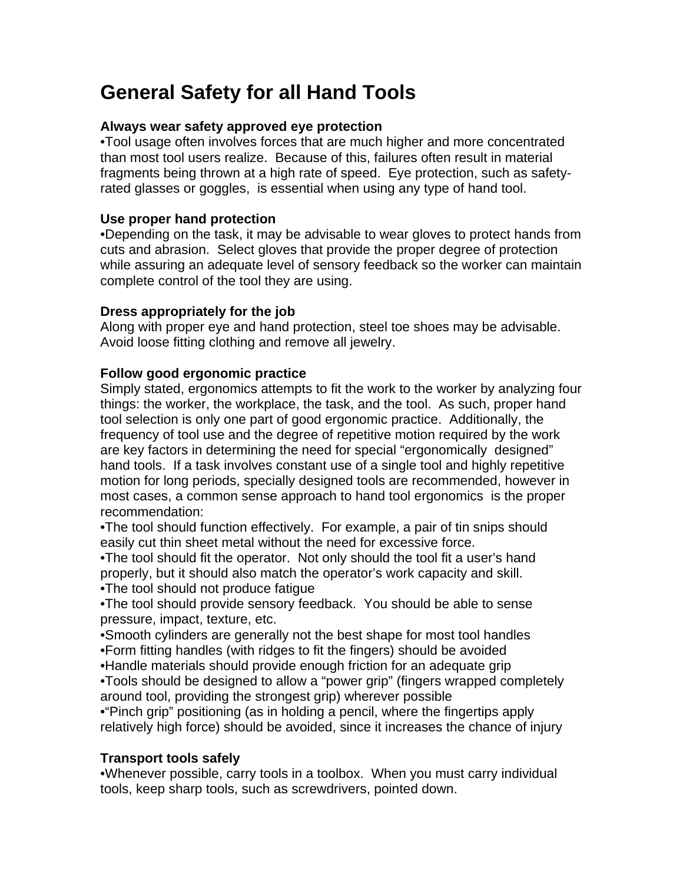# **General Safety for all Hand Tools**

### **Always wear safety approved eye protection**

•Tool usage often involves forces that are much higher and more concentrated than most tool users realize. Because of this, failures often result in material fragments being thrown at a high rate of speed. Eye protection, such as safetyrated glasses or goggles, is essential when using any type of hand tool.

## **Use proper hand protection**

•Depending on the task, it may be advisable to wear gloves to protect hands from cuts and abrasion. Select gloves that provide the proper degree of protection while assuring an adequate level of sensory feedback so the worker can maintain complete control of the tool they are using.

## **Dress appropriately for the job**

Along with proper eye and hand protection, steel toe shoes may be advisable. Avoid loose fitting clothing and remove all jewelry.

## **Follow good ergonomic practice**

Simply stated, ergonomics attempts to fit the work to the worker by analyzing four things: the worker, the workplace, the task, and the tool. As such, proper hand tool selection is only one part of good ergonomic practice. Additionally, the frequency of tool use and the degree of repetitive motion required by the work are key factors in determining the need for special "ergonomically designed" hand tools. If a task involves constant use of a single tool and highly repetitive motion for long periods, specially designed tools are recommended, however in most cases, a common sense approach to hand tool ergonomics is the proper recommendation:

•The tool should function effectively. For example, a pair of tin snips should easily cut thin sheet metal without the need for excessive force.

•The tool should fit the operator. Not only should the tool fit a user's hand properly, but it should also match the operator's work capacity and skill. •The tool should not produce fatigue

•The tool should provide sensory feedback. You should be able to sense pressure, impact, texture, etc.

•Smooth cylinders are generally not the best shape for most tool handles •Form fitting handles (with ridges to fit the fingers) should be avoided

•Handle materials should provide enough friction for an adequate grip

•Tools should be designed to allow a "power grip" (fingers wrapped completely around tool, providing the strongest grip) wherever possible

•"Pinch grip" positioning (as in holding a pencil, where the fingertips apply relatively high force) should be avoided, since it increases the chance of injury

#### **Transport tools safely**

•Whenever possible, carry tools in a toolbox. When you must carry individual tools, keep sharp tools, such as screwdrivers, pointed down.